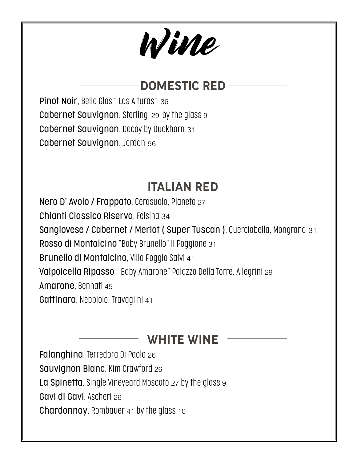# Wine

## - DOMESTIC RED-

Pinot Noir, Belle Glos " Las Alturas" 36 Cabernet Sauvignon, Sterling 29 by the glass 9 Cabernet Sauvignon, Decoy by Duckhorn 31 Cabernet Sauvignon, Jordan 56

## ITALIAN RED

Nero D' Avolo / Frappato, Cerasuolo, Planeta 27 Chianti Classico Riserva, Felsina 34 Sangiovese / Cabernet / Merlot ( Super Tuscan ), Querciabella, Mongrana 31 Rosso di Montalcino "Baby Brunello" II Poggione 31 Brunello di Montalcino, Villa Poggio Salvi 41 Valpoicella Ripasso " Baby Amarone" Palazzo Della Torre, Allegrini 29 Amarone, Bennati 45 Gattinara, Nebbiolo, Travaglini 41

WHITE WINE

Falanghina, Terredora Di Paolo 26 Sauvignon Blanc, Kim Crawford 26 La Spinetta, Single Vineyeard Moscato 27 by the glass 9 Gavi di Gavi, Ascheri 26 Chardonnay, Rombauer 41 by the glass 10